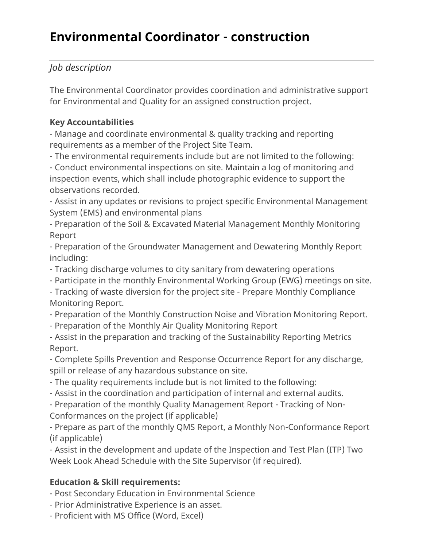# **Environmental Coordinator - construction**

## *Job description*

The Environmental Coordinator provides coordination and administrative support for Environmental and Quality for an assigned construction project.

## **Key Accountabilities**

- Manage and coordinate environmental & quality tracking and reporting requirements as a member of the Project Site Team.

- The environmental requirements include but are not limited to the following:

- Conduct environmental inspections on site. Maintain a log of monitoring and inspection events, which shall include photographic evidence to support the observations recorded.

- Assist in any updates or revisions to project specific Environmental Management System (EMS) and environmental plans

- Preparation of the Soil & Excavated Material Management Monthly Monitoring Report

- Preparation of the Groundwater Management and Dewatering Monthly Report including:

- Tracking discharge volumes to city sanitary from dewatering operations

- Participate in the monthly Environmental Working Group (EWG) meetings on site.

- Tracking of waste diversion for the project site - Prepare Monthly Compliance Monitoring Report.

- Preparation of the Monthly Construction Noise and Vibration Monitoring Report.

- Preparation of the Monthly Air Quality Monitoring Report

- Assist in the preparation and tracking of the Sustainability Reporting Metrics Report.

- Complete Spills Prevention and Response Occurrence Report for any discharge, spill or release of any hazardous substance on site.

- The quality requirements include but is not limited to the following:

- Assist in the coordination and participation of internal and external audits.

- Preparation of the monthly Quality Management Report - Tracking of Non-Conformances on the project (if applicable)

- Prepare as part of the monthly QMS Report, a Monthly Non-Conformance Report (if applicable)

- Assist in the development and update of the Inspection and Test Plan (ITP) Two Week Look Ahead Schedule with the Site Supervisor (if required).

## **Education & Skill requirements:**

- Post Secondary Education in Environmental Science

- Prior Administrative Experience is an asset.

- Proficient with MS Office (Word, Excel)